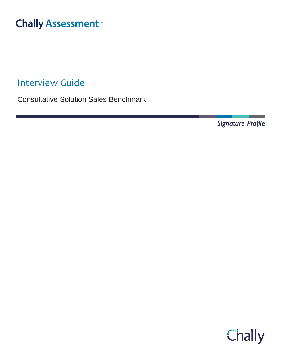# **Chally Assessment**

Interview Guide

Consultative Solution Sales Benchmark

Signature Profile

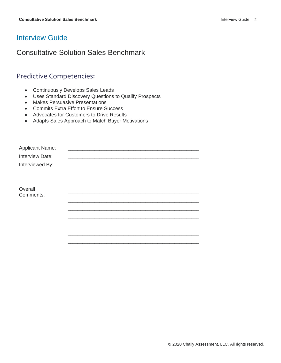### Interview Guide

# Consultative Solution Sales Benchmark

# Predictive Competencies:

- Continuously Develops Sales Leads
- Uses Standard Discovery Questions to Qualify Prospects
- Makes Persuasive Presentations
- Commits Extra Effort to Ensure Success
- Advocates for Customers to Drive Results
- Adapts Sales Approach to Match Buyer Motivations

| <b>Applicant Name:</b> |  |
|------------------------|--|
| Interview Date:        |  |
| Interviewed By:        |  |
|                        |  |
|                        |  |
| Overall                |  |
| Comments:              |  |
|                        |  |
|                        |  |
|                        |  |
|                        |  |
|                        |  |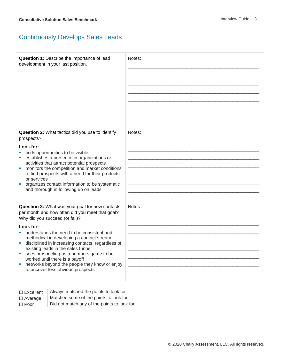# Continuously Develops Sales Leads

| Question 1: Describe the importance of lead<br>development in your last position.                                                                                                                                                                                                                                                                                        | Notes: |
|--------------------------------------------------------------------------------------------------------------------------------------------------------------------------------------------------------------------------------------------------------------------------------------------------------------------------------------------------------------------------|--------|
| Question 2: What tactics did you use to identify<br>prospects?                                                                                                                                                                                                                                                                                                           | Notes: |
| Look for:<br>finds opportunities to be visible<br>establishes a presence in organizations or<br>activities that attract potential prospects<br>monitors the competition and market conditions<br>ш<br>to find prospects with a need for their products<br>or services<br>organizes contact information to be systematic<br>and thorough in following up on leads         |        |
| Question 3: What was your goal for new contacts<br>per month and how often did you meet that goal?<br>Why did you succeed (or fail)?                                                                                                                                                                                                                                     | Notes: |
| Look for:<br>understands the need to be consistent and<br>methodical in developing a contact stream<br>disciplined in increasing contacts, regardless of<br>existing leads in the sales funnel<br>sees prospecting as a numbers game to be<br>I.<br>worked until there is a payoff<br>networks beyond the people they know or enjoy<br>to uncover less obvious prospects |        |

- $\Box$  Excellent  $\parallel$  Always matched the points to look for
- 
- ☐ Average Matched some of the points to look for  $\Box$  Poor  $\Box$  Did not match any of the points to look for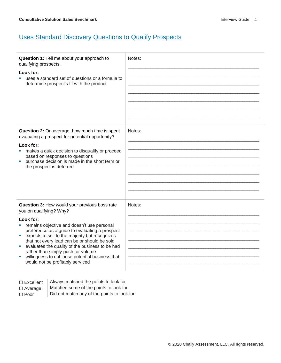# Uses Standard Discovery Questions to Qualify Prospects

| Question 1: Tell me about your approach to<br>qualifying prospects.<br>Look for:<br>uses a standard set of questions or a formula to<br>determine prospect's fit with the product                                                                                                                                                                                                                                                                                                                   | Notes: |
|-----------------------------------------------------------------------------------------------------------------------------------------------------------------------------------------------------------------------------------------------------------------------------------------------------------------------------------------------------------------------------------------------------------------------------------------------------------------------------------------------------|--------|
| Question 2: On average, how much time is spent<br>evaluating a prospect for potential opportunity?<br>Look for:<br>makes a quick decision to disqualify or proceed<br>based on responses to questions<br>purchase decision is made in the short term or<br>the prospect is deferred                                                                                                                                                                                                                 | Notes: |
| Question 3: How would your previous boss rate<br>you on qualifying? Why?<br>Look for:<br>remains objective and doesn't use personal<br><b>I</b><br>preference as a guide to evaluating a prospect<br>expects to sell to the majority but recognizes<br>ш<br>that not every lead can be or should be sold<br>evaluates the quality of the business to be had<br>ш<br>rather than simply push for volume<br>willingness to cut loose potential business that<br>ш<br>would not be profitably serviced | Notes: |

Always matched the points to look for

- $\Box$  Average  $\parallel$  Matched some of the points to look for
- 

 $\Box$  Poor  $\Box$  Did not match any of the points to look for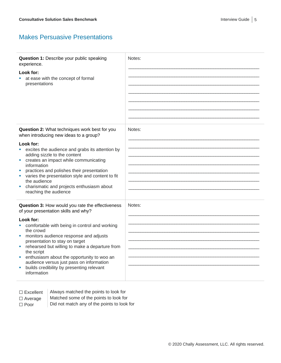#### Makes Persuasive Presentations

| Question 1: Describe your public speaking<br>experience.                                 | Notes: |
|------------------------------------------------------------------------------------------|--------|
| Look for:                                                                                |        |
| at ease with the concept of formal                                                       |        |
| presentations                                                                            |        |
|                                                                                          |        |
|                                                                                          |        |
|                                                                                          |        |
|                                                                                          |        |
|                                                                                          |        |
|                                                                                          |        |
| Question 2: What techniques work best for you<br>when introducing new ideas to a group?  | Notes: |
| Look for:                                                                                |        |
| excites the audience and grabs its attention by                                          |        |
| adding sizzle to the content                                                             |        |
| creates an impact while communicating<br>ш                                               |        |
| information                                                                              |        |
| practices and polishes their presentation                                                |        |
| varies the presentation style and content to fit<br>the audience                         |        |
| charismatic and projects enthusiasm about                                                |        |
| reaching the audience                                                                    |        |
|                                                                                          |        |
| Question 3: How would you rate the effectiveness<br>of your presentation skills and why? | Notes: |
| Look for:                                                                                |        |
| comfortable with being in control and working                                            |        |
| the crowd                                                                                |        |
| monitors audience response and adjusts                                                   |        |
| presentation to stay on target                                                           |        |
| rehearsed but willing to make a departure from                                           |        |
| the script<br>enthusiasm about the opportunity to woo an<br>×.                           |        |
| audience versus just pass on information                                                 |        |
| builds credibility by presenting relevant<br>ш                                           |        |
| information                                                                              |        |
|                                                                                          |        |

- $\Box$  Excellent  $\parallel$  Always matched the points to look for
- $\Box$  Average  $\parallel$  Matched some of the points to look for
- $\Box$  Poor  $\Box$  Did not match any of the points to look for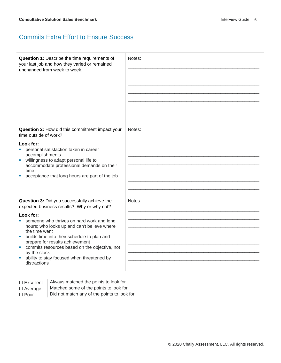#### Commits Extra Effort to Ensure Success

| Question 1: Describe the time requirements of<br>your last job and how they varied or remained<br>unchanged from week to week.                                                                                                                                                                                                                           | Notes: |
|----------------------------------------------------------------------------------------------------------------------------------------------------------------------------------------------------------------------------------------------------------------------------------------------------------------------------------------------------------|--------|
| Question 2: How did this commitment impact your<br>time outside of work?                                                                                                                                                                                                                                                                                 | Notes: |
| Look for:<br>personal satisfaction taken in career<br>ш<br>accomplishments<br>willingness to adapt personal life to<br>$\blacksquare$<br>accommodate professional demands on their<br>time<br>acceptance that long hours are part of the job                                                                                                             |        |
| Question 3: Did you successfully achieve the<br>expected business results? Why or why not?                                                                                                                                                                                                                                                               | Notes: |
| Look for:<br>someone who thrives on hard work and long<br>hours; who looks up and can't believe where<br>the time went<br>builds time into their schedule to plan and<br>ш<br>prepare for results achievement<br>commits resources based on the objective, not<br><b>I</b><br>by the clock<br>ability to stay focused when threatened by<br>distractions |        |

| $\Box$ Excellent |  |
|------------------|--|
|------------------|--|

Always matched the points to look for

☐ Average Matched some of the points to look for

 $\Box$  Poor  $\Box$  Did not match any of the points to look for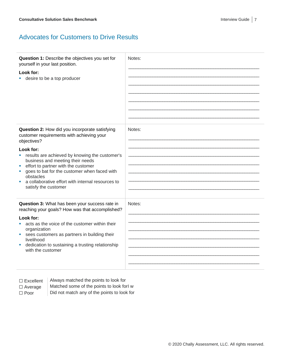#### Advocates for Customers to Drive Results

| Question 1: Describe the objectives you set for<br>yourself in your last position.<br>Look for:<br>desire to be a top producer                                                                                                                                                                                                                                                                            | Notes: |
|-----------------------------------------------------------------------------------------------------------------------------------------------------------------------------------------------------------------------------------------------------------------------------------------------------------------------------------------------------------------------------------------------------------|--------|
| Question 2: How did you incorporate satisfying<br>customer requirements with achieving your<br>objectives?<br>Look for:<br>results are achieved by knowing the customer's<br>a.<br>business and meeting their needs<br>effort to partner with the customer<br>×<br>goes to bat for the customer when faced with<br>obstacles<br>a collaborative effort with internal resources to<br>satisfy the customer | Notes: |
| Question 3: What has been your success rate in<br>reaching your goals? How was that accomplished?<br>Look for:<br>acts as the voice of the customer within their<br>organization<br>sees customers as partners in building their<br>×<br>livelihood<br>dedication to sustaining a trusting relationship<br>with the customer                                                                              | Notes: |

 $\Box$  Excellent  $\parallel$  Always matched the points to look for

 $\Box$  Average  $\parallel$  Matched some of the points to look forl w  $\Box$  Poor  $\Box$  Did not match any of the points to look for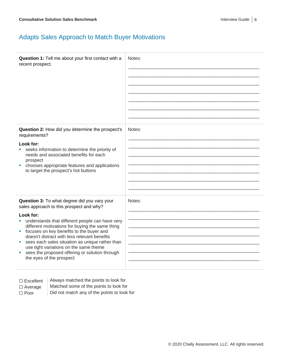# Adapts Sales Approach to Match Buyer Motivations

| Question 1: Tell me about your first contact with a<br>recent prospect.                                                                                                                                                                                                                                                                                                                                                                                                                            | Notes: |
|----------------------------------------------------------------------------------------------------------------------------------------------------------------------------------------------------------------------------------------------------------------------------------------------------------------------------------------------------------------------------------------------------------------------------------------------------------------------------------------------------|--------|
| Question 2: How did you determine the prospect's<br>requirements?<br>Look for:<br>seeks information to determine the priority of<br>ш<br>needs and associated benefits for each<br>prospect<br>chooses appropriate features and applications<br>ш<br>to target the prospect's hot buttons                                                                                                                                                                                                          | Notes: |
| Question 3: To what degree did you vary your<br>sales approach to this prospect and why?<br>Look for:<br>understands that different people can have very<br>u.<br>different motivations for buying the same thing<br>focuses on key benefits to the buyer and<br>ш<br>doesn't distract with less relevant benefits<br>sees each sales situation as unique rather than<br>use tight variations on the same theme<br>sees the proposed offering or solution through<br>ш<br>the eyes of the prospect | Notes: |

 $\Box$  Excellent  $\parallel$  Always matched the points to look for

 $\Box$  Average  $\parallel$  Matched some of the points to look for

 $\Box$  Poor  $\Box$  Did not match any of the points to look for